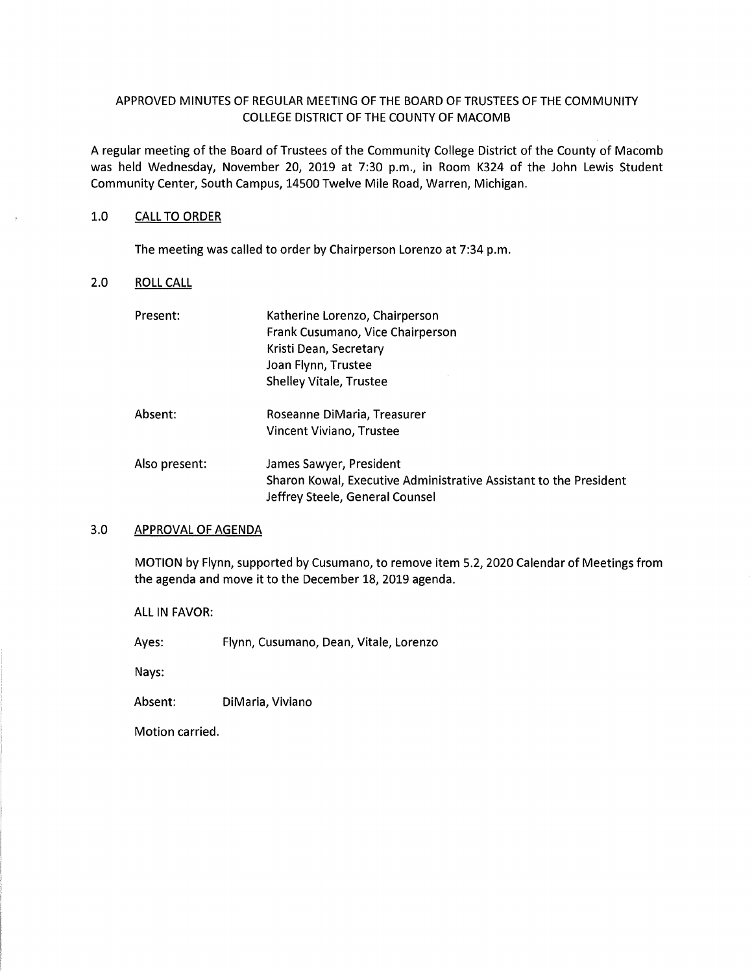# APPROVED MINUTES OF REGULAR MEETING OF THE BOARD OF TRUSTEES OF THE COMMUNITY COLLEGE DISTRICT OF THE COUNTY OF MACOMB

A regular meeting of the Board of Trustees of the Community College District of the County of Macomb was held Wednesday, November 20, 2019 at 7:30 p.m., in Room K324 of the John Lewis Student Community Center, South Campus, 14500 Twelve Mile Road, Warren, Michigan.

### 1.0 CALL TO ORDER

The meeting was called to order by Chairperson Lorenzo at 7:34 p.m.

# 2.0 ROLL CALL

| Present:      | Katherine Lorenzo, Chairperson                                    |
|---------------|-------------------------------------------------------------------|
|               | Frank Cusumano, Vice Chairperson                                  |
|               | Kristi Dean, Secretary                                            |
|               | Joan Flynn, Trustee                                               |
|               | <b>Shelley Vitale, Trustee</b>                                    |
| Absent:       | Roseanne DiMaria, Treasurer                                       |
|               | Vincent Viviano, Trustee                                          |
| Also present: | James Sawyer, President                                           |
|               | Sharon Kowal, Executive Administrative Assistant to the President |
|               | Jeffrey Steele, General Counsel                                   |

### 3.0 APPROVAL OF AGENDA

MOTION by Flynn, supported by Cusumano, to remove item 5.2, 2020 Calendar of Meetings from the agenda and move it to the December 18, 2019 agenda.

ALL IN FAVOR:

Ayes: Flynn, Cusumano, Dean, Vitale, Lorenzo

Nays:

Absent: DiMaria, Viviano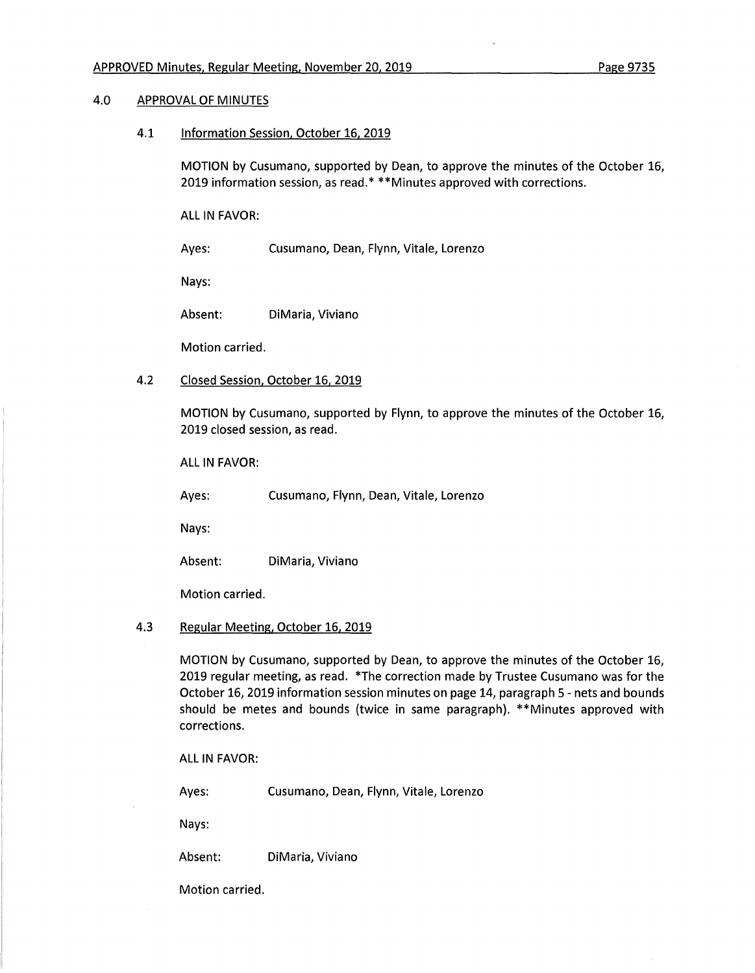### 4.0 APPROVAL OF MINUTES

4.1 Information Session. October 16, 2019

MOTION by Cusumano, supported by Dean, to approve the minutes of the October 16, 2019 information session, as read.\* \*\*Minutes approved with corrections.

ALL IN FAVOR:

Ayes: Cusumano, Dean, Flynn, Vitale, Lorenzo

Nays:

Absent: DiMaria, Viviano

Motion carried.

4.2 Closed Session, October 16. 2019

MOTION by Cusumano, supported by Flynn, to approve the minutes of the October 16, 2019 closed session, as read.

ALL IN FAVOR:

Ayes: Cusumano, Flynn, Dean, Vitale, Lorenzo

Nays:

Absent: DiMaria, Viviano

Motion carried.

## **4.3** Regular Meeting. October 16. 2019

MOTION by Cusumano, supported by Dean, to approve the minutes of the October 16, 2019 regular meeting, as read. \*The correction made by Trustee Cusumano was for the October 16, 2019 information session minutes on page 14, paragraph 5 - nets and bounds should be metes and bounds (twice in same paragraph). \*\*Minutes approved with corrections.

ALL IN FAVOR:

Ayes: Cusumano, Dean, Flynn, Vitale, Lorenzo

Nays:

Absent: DiMaria, Viviano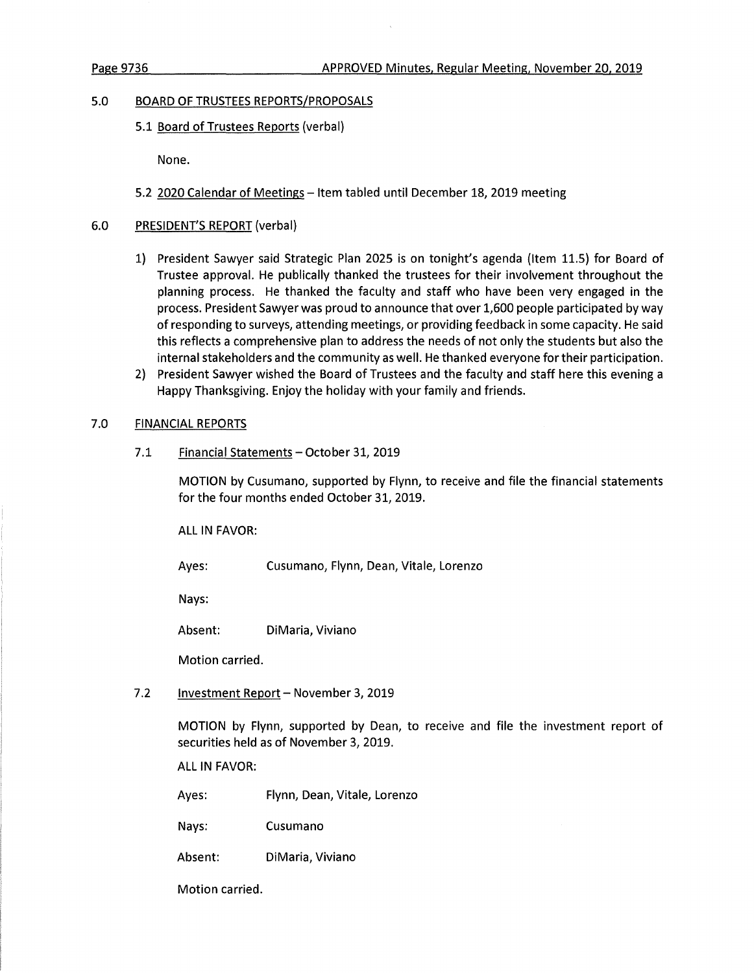#### 5.0 **BOARD OF TRUSTEES REPORTS/PROPOSALS**

5.1 Board of Trustees Reports (verbal)

None.

- 5.2 2020 Calendar of Meetings Item tabled until December 18, 2019 meeting
- 6.0 PRESIDENT'S REPORT (verbal)
	- 1) President Sawyer said Strategic Plan 2025 is on tonight's agenda (Item 11.5) for Board of Trustee approval. He publically thanked the trustees for their involvement throughout the planning process. He thanked the faculty and staff who have been very engaged in the process. President Sawyer was proud to announce that over 1,600 people participated by way of responding to surveys, attending meetings, or providing feedback in some capacity. He said this reflects a comprehensive plan to address the needs of not only the students but also the internal stakeholders and the community as well. He thanked everyone for their participation.
	- 2) President Sawyer wished the Board of Trustees and the faculty and staff here this evening a Happy Thanksgiving. Enjoy the holiday with your family and friends.

## 7.0 FINANCIAL REPORTS

7.1 Financial Statements - October 31, 2019

MOTION by Cusumano, supported by Flynn, to receive and file the financial statements for the four months ended October 31, 2019.

ALL IN FAVOR:

Ayes: Cusumano, Flynn, Dean, Vitale, Lorenzo

Nays:

Absent: DiMaria, Viviano

Motion carried.

7.2 Investment Report - November 3, 2019

MOTION by Flynn, supported by Dean, to receive and file the investment report of securities held as of November 3, 2019.

ALL IN FAVOR:

Ayes: Flynn, Dean, Vitale, Lorenzo

Nays: Cusumano

Absent: DiMaria, Viviano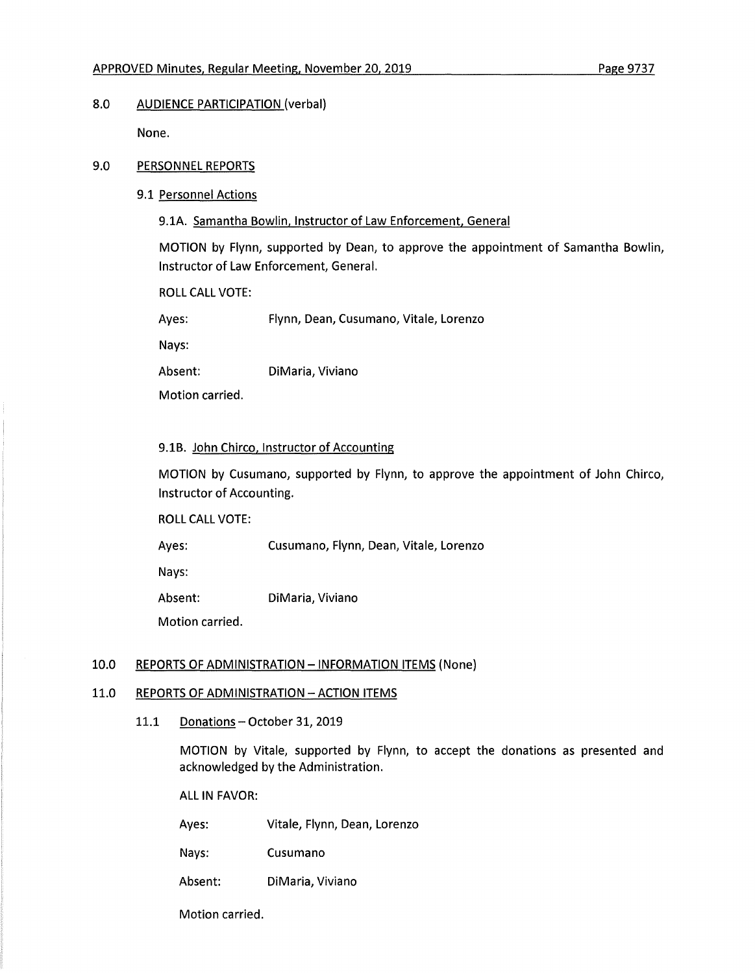# 8.0 AUDIENCE PARTICIPATION (verbal)

None.

## 9.0 PERSONNEL REPORTS

9.1 Personnel Actions

9.1A. Samantha Bowlin. Instructor of Law Enforcement. General

MOTION by Flynn, supported by Dean, to approve the appointment of Samantha Bowlin, Instructor of Law Enforcement, General.

ROLL CALL VOTE:

Ayes: Flynn, Dean, Cusumano, Vitale, Lorenzo

Nays:

Absent: DiMaria, Viviano

Motion carried.

## 9.1B. John Chirco. Instructor of Accounting

MOTION by Cusumano, supported by Flynn, to approve the appointment of John Chirco, Instructor of Accounting.

ROLL CALL VOTE:

Ayes: Cusumano, Flynn, Dean, Vitale, Lorenzo

Nays:

Absent: DiMaria, Viviano

Motion carried.

# 10.0 REPORTS OF ADMINISTRATION - INFORMATION ITEMS (None)

### 11.0 REPORTS OF ADMINISTRATION - ACTION ITEMS

11.1 Donations - October 31, 2019

MOTION by Vitale, supported by Flynn, to accept the donations as presented and acknowledged by the Administration.

ALL IN FAVOR:

Ayes: Vitale, Flynn, Dean, Lorenzo

Nays: Cusumano

Absent: DiMaria, Viviano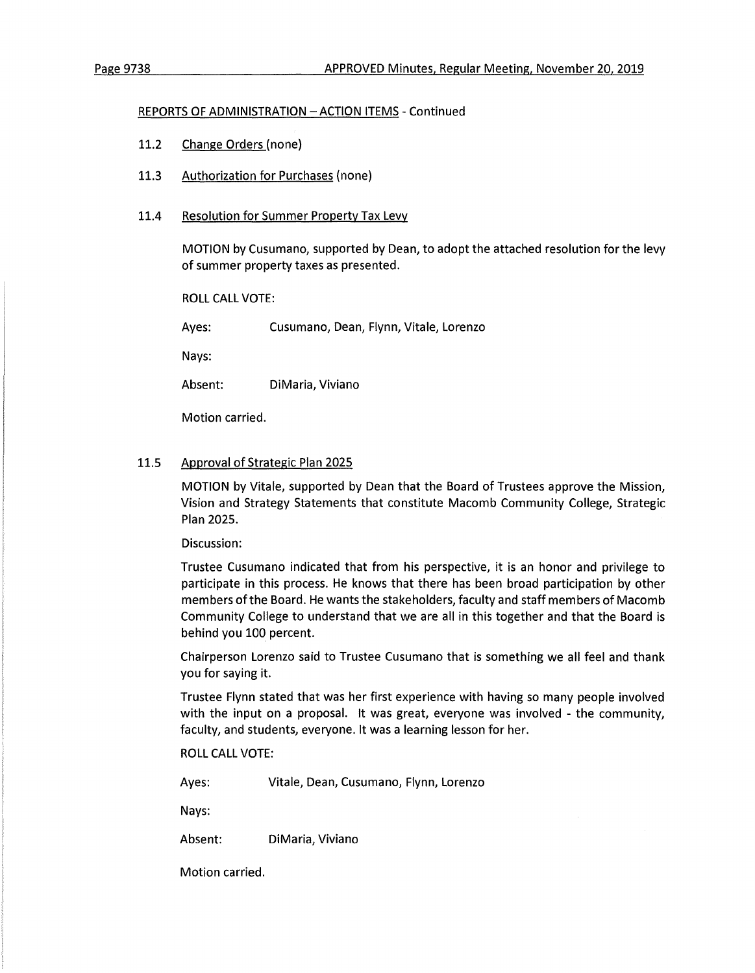#### REPORTS OF ADMINISTRATION - ACTION ITEMS - Continued

- 11.2 Change Orders (none)
- 11.3 Authorization for Purchases (none)
- 11.4 Resolution for Summer Property Tax Levy

MOTION by Cusumano, supported by Dean, to adopt the attached resolution for the levy of summer property taxes as presented.

ROLL CALL VOTE:

Ayes: Cusumano, Dean, Flynn, Vitale, Lorenzo

Nays:

Absent: DiMaria, Viviano

Motion carried.

## 11.5 Approval of Strategic Plan 2025

MOTION by Vitale, supported by Dean that the Board of Trustees approve the Mission, Vision and Strategy Statements that constitute Macomb Community College, Strategic Plan 2025.

Discussion:

Trustee Cusumano indicated that from his perspective, it is an honor and privilege to participate in this process. He knows that there has been broad participation by other members of the Board. He wants the stakeholders, faculty and staff members of Macomb Community College to understand that we are all in this together and that the Board is behind you 100 percent.

Chairperson Lorenzo said to Trustee Cusumano that is something we all feel and thank you for saying it.

Trustee Flynn stated that was her first experience with having so many people involved with the input on a proposal. It was great, everyone was involved - the community, faculty, and students, everyone. It was a learning lesson for her.

ROLL CALL VOTE:

Ayes: Vitale, Dean, Cusumano, Flynn, Lorenzo

Nays:

Absent: DiMaria, Viviano